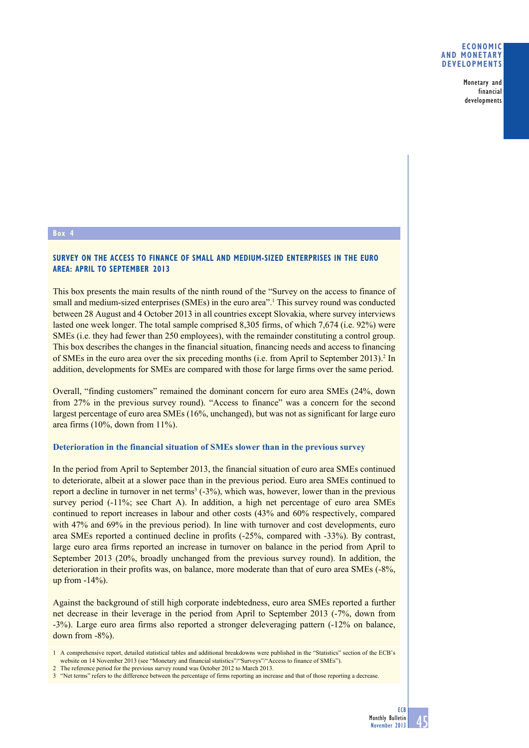Monetary and financial developments

### **Box 4**

## **Survey on the access to finance of small and medium-sized enterprises in the euro area: April to September 2013**

This box presents the main results of the ninth round of the "Survey on the access to finance of small and medium-sized enterprises (SMEs) in the euro area".<sup>1</sup> This survey round was conducted between 28 August and 4 October 2013 in all countries except Slovakia, where survey interviews lasted one week longer. The total sample comprised 8,305 firms, of which 7,674 (i.e. 92%) were SMEs (i.e. they had fewer than 250 employees), with the remainder constituting a control group. This box describes the changes in the financial situation, financing needs and access to financing of SMEs in the euro area over the six preceding months (i.e. from April to September 2013).<sup>2</sup> In addition, developments for SMEs are compared with those for large firms over the same period.

Overall, "finding customers" remained the dominant concern for euro area SMEs (24%, down from 27% in the previous survey round). "Access to finance" was a concern for the second largest percentage of euro area SMEs (16%, unchanged), but was not as significant for large euro area firms (10%, down from 11%).

#### **Deterioration in the financial situation of SMEs slower than in the previous survey**

In the period from April to September 2013, the financial situation of euro area SMEs continued to deteriorate, albeit at a slower pace than in the previous period. Euro area SMEs continued to report a decline in turnover in net terms<sup>3</sup>  $(-3%)$ , which was, however, lower than in the previous survey period (-11%; see Chart A). In addition, a high net percentage of euro area SMEs continued to report increases in labour and other costs (43% and 60% respectively, compared with 47% and 69% in the previous period). In line with turnover and cost developments, euro area SMEs reported a continued decline in profits (-25%, compared with -33%). By contrast, large euro area firms reported an increase in turnover on balance in the period from April to September 2013 (20%, broadly unchanged from the previous survey round). In addition, the deterioration in their profits was, on balance, more moderate than that of euro area SMEs (-8%, up from -14%).

Against the background of still high corporate indebtedness, euro area SMEs reported a further net decrease in their leverage in the period from April to September 2013 (-7%, down from -3%). Large euro area firms also reported a stronger deleveraging pattern (-12% on balance, down from -8%).

<sup>1</sup> A comprehensive report, detailed statistical tables and additional breakdowns were published in the "Statistics" section of the ECB's website on 14 November 2013 (see "Monetary and financial statistics"/"Surveys"/"Access to finance of SMEs").

<sup>2</sup> The reference period for the previous survey round was October 2012 to March 2013.

<sup>3</sup>  "Net terms" refers to the difference between the percentage of firms reporting an increase and that of those reporting a decrease.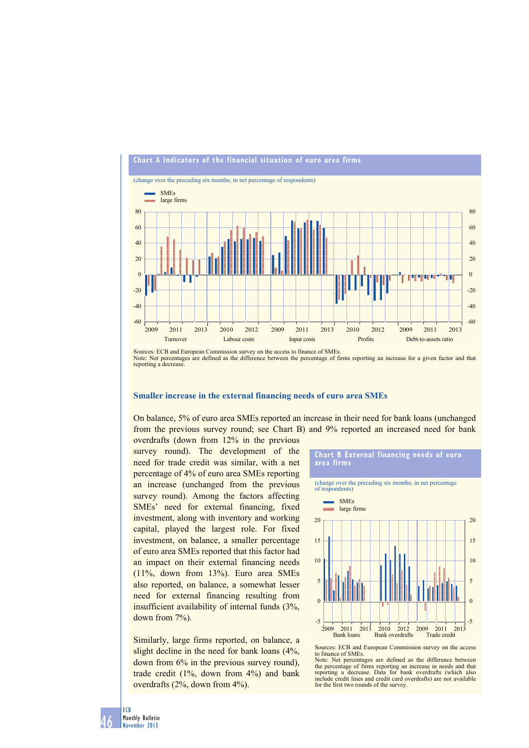

Sources: ECB and European Commission survey on the access to finance of SMEs. Note: Net percentages are defined as the difference between the percentage of firms reporting an increase for a given factor and that reporting a decrease.

#### **Smaller increase in the external financing needs of euro area SMEs**

On balance, 5% of euro area SMEs reported an increase in their need for bank loans (unchanged from the previous survey round; see Chart B) and 9% reported an increased need for bank

overdrafts (down from 12% in the previous survey round). The development of the need for trade credit was similar, with a net percentage of 4% of euro area SMEs reporting an increase (unchanged from the previous survey round). Among the factors affecting SMEs' need for external financing, fixed investment, along with inventory and working capital, played the largest role. For fixed investment, on balance, a smaller percentage of euro area SMEs reported that this factor had an impact on their external financing needs  $(11\%, \text{ down from } 13\%)$ . Euro area SMEs also reported, on balance, a somewhat lesser need for external financing resulting from insufficient availability of internal funds  $(3\%,$ down from  $7\%$ ).

Similarly, large firms reported, on balance, a slight decline in the need for bank loans  $(4\%$ , down from  $6\%$  in the previous survey round), trade credit  $(1\%$ , down from  $4\%$ ) and bank overdrafts  $(2\%$ , down from  $4\%$ ).



to finance of SMEs. Note: Net percentages are defined as the difference between the percentage of firms reporting an increase in needs and that reporting a decrease. Data for bank overdrafts (which also decrease. Data for bank overdrafts (which also include credit lines and credit card overdrafts) are not available for the first two rounds of the survey.

46 ECB Monthly Bulletin November 2013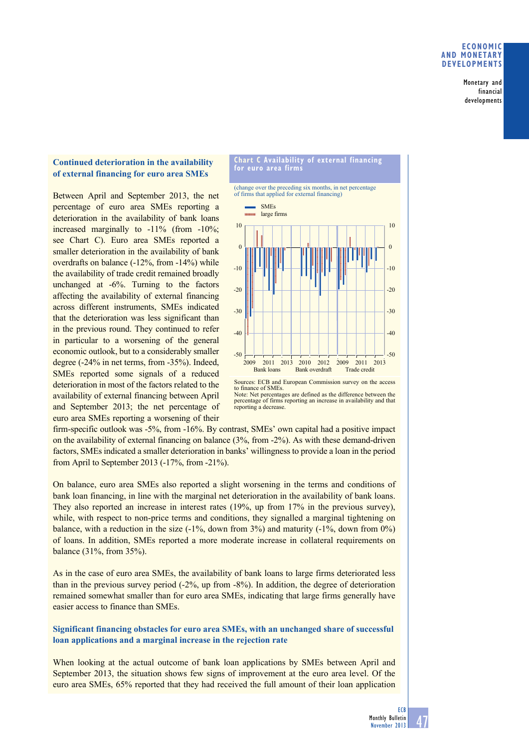### **eConomiC and monetary develoPments**

Monetary and financial developments

# **Continued deterioration in the availability of external financing for euro area SMEs**

Between April and September 2013, the net percentage of euro area SMEs reporting a deterioration in the availability of bank loans increased marginally to  $-11\%$  (from  $-10\%$ ; see Chart C). Euro area SMEs reported a smaller deterioration in the availability of bank overdrafts on balance  $(-12\%$ , from  $-14\%)$  while the availability of trade credit remained broadly unchanged at -6%. Turning to the factors affecting the availability of external financing across different instruments, SMEs indicated that the deterioration was less significant than in the previous round. They continued to refer in particular to a worsening of the general economic outlook, but to a considerably smaller degree (-24% in net terms, from -35%). Indeed, SMEs reported some signals of a reduced deterioration in most of the factors related to the availability of external financing between April and September 2013; the net percentage of euro area SMEs reporting a worsening of their





Bank loans Bank overdraft Trade credit 2009 2011 2013 2010 2012 2009 2011 2013

firm-specific outlook was -5%, from -16%. By contrast, SMEs' own capital had a positive impact on the availability of external financing on balance  $(3\%$ , from -2%). As with these demand-driven factors, SMEs indicated a smaller deterioration in banks' willingness to provide a loan in the period from April to September 2013  $(-17\%$ , from  $-21\%$ ).

-50

On balance, euro area SMEs also reported a slight worsening in the terms and conditions of bank loan financing, in line with the marginal net deterioration in the availability of bank loans. They also reported an increase in interest rates  $(19\%,$  up from  $17\%$  in the previous survey), while, with respect to non-price terms and conditions, they signalled a marginal tightening on balance, with a reduction in the size  $(-1\%$ , down from 3%) and maturity  $(-1\%$ , down from 0%) of loans. In addition, SMEs reported a more moderate increase in collateral requirements on balance  $(31\%$ , from  $35\%$ ).

As in the case of euro area SMEs, the availability of bank loans to large firms deteriorated less than in the previous survey period  $(-2\%, \text{ up from } -8\%)$ . In addition, the degree of deterioration remained somewhat smaller than for euro area SMEs, indicating that large firms generally have easier access to finance than SMEs.

### **Significant financing obstacles for euro area SMEs, with an unchanged share of successful loan applications and a marginal increase in the rejection rate**

When looking at the actual outcome of bank loan applications by SMEs between April and September 2013, the situation shows few signs of improvement at the euro area level. Of the euro area SMEs, 65% reported that they had received the full amount of their loan application